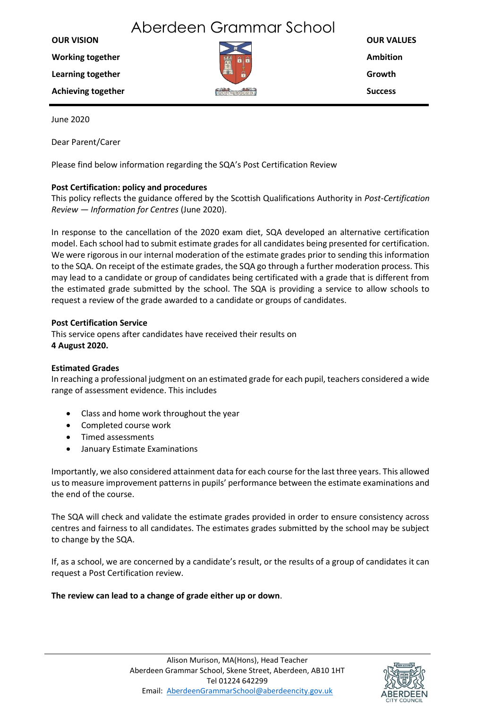# Aberdeen Grammar School

| <b>OUR VISION</b>         |          | <b>OUR VALUES</b> |
|---------------------------|----------|-------------------|
| <b>Working together</b>   | <b>W</b> | <b>Ambition</b>   |
| Learning together         | A        | Growth            |
| <b>Achieving together</b> |          | <b>Success</b>    |
|                           |          |                   |

June 2020

Dear Parent/Carer

Please find below information regarding the SQA's Post Certification Review

## **Post Certification: policy and procedures**

This policy reflects the guidance offered by the Scottish Qualifications Authority in *Post-Certification Review — Information for Centres* (June 2020).

In response to the cancellation of the 2020 exam diet, SQA developed an alternative certification model. Each school had to submit estimate grades for all candidates being presented for certification. We were rigorous in our internal moderation of the estimate grades prior to sending this information to the SQA. On receipt of the estimate grades, the SQA go through a further moderation process. This may lead to a candidate or group of candidates being certificated with a grade that is different from the estimated grade submitted by the school. The SQA is providing a service to allow schools to request a review of the grade awarded to a candidate or groups of candidates.

### **Post Certification Service**

This service opens after candidates have received their results on **4 August 2020.**

### **Estimated Grades**

In reaching a professional judgment on an estimated grade for each pupil, teachers considered a wide range of assessment evidence. This includes

- Class and home work throughout the year
- Completed course work
- Timed assessments
- January Estimate Examinations

Importantly, we also considered attainment data for each course for the last three years. This allowed us to measure improvement patterns in pupils' performance between the estimate examinations and the end of the course.

The SQA will check and validate the estimate grades provided in order to ensure consistency across centres and fairness to all candidates. The estimates grades submitted by the school may be subject to change by the SQA.

If, as a school, we are concerned by a candidate's result, or the results of a group of candidates it can request a Post Certification review.

### **The review can lead to a change of grade either up or down**.

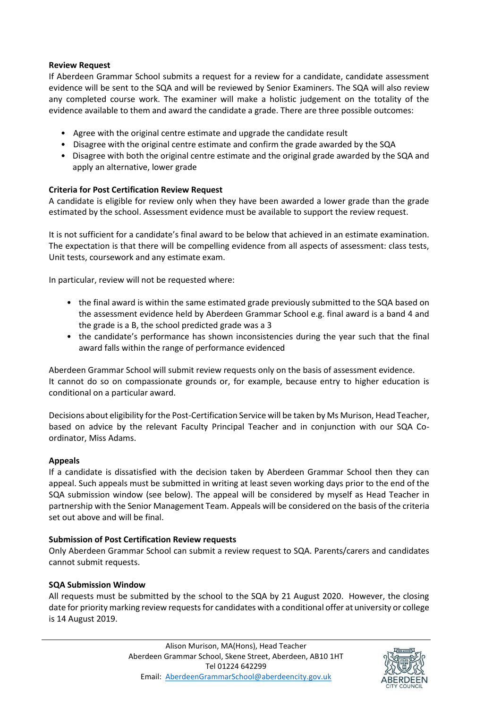#### **Review Request**

If Aberdeen Grammar School submits a request for a review for a candidate, candidate assessment evidence will be sent to the SQA and will be reviewed by Senior Examiners. The SQA will also review any completed course work. The examiner will make a holistic judgement on the totality of the evidence available to them and award the candidate a grade. There are three possible outcomes:

- Agree with the original centre estimate and upgrade the candidate result
- Disagree with the original centre estimate and confirm the grade awarded by the SQA
- Disagree with both the original centre estimate and the original grade awarded by the SQA and apply an alternative, lower grade

### **Criteria for Post Certification Review Request**

A candidate is eligible for review only when they have been awarded a lower grade than the grade estimated by the school. Assessment evidence must be available to support the review request.

It is not sufficient for a candidate's final award to be below that achieved in an estimate examination. The expectation is that there will be compelling evidence from all aspects of assessment: class tests, Unit tests, coursework and any estimate exam.

In particular, review will not be requested where:

- the final award is within the same estimated grade previously submitted to the SQA based on the assessment evidence held by Aberdeen Grammar School e.g. final award is a band 4 and the grade is a B, the school predicted grade was a 3
- the candidate's performance has shown inconsistencies during the year such that the final award falls within the range of performance evidenced

Aberdeen Grammar School will submit review requests only on the basis of assessment evidence. It cannot do so on compassionate grounds or, for example, because entry to higher education is conditional on a particular award.

Decisions about eligibility for the Post-Certification Service will be taken by Ms Murison, Head Teacher, based on advice by the relevant Faculty Principal Teacher and in conjunction with our SQA Coordinator, Miss Adams.

#### **Appeals**

If a candidate is dissatisfied with the decision taken by Aberdeen Grammar School then they can appeal. Such appeals must be submitted in writing at least seven working days prior to the end of the SQA submission window (see below). The appeal will be considered by myself as Head Teacher in partnership with the Senior Management Team. Appeals will be considered on the basis of the criteria set out above and will be final.

### **Submission of Post Certification Review requests**

Only Aberdeen Grammar School can submit a review request to SQA. Parents/carers and candidates cannot submit requests.

### **SQA Submission Window**

All requests must be submitted by the school to the SQA by 21 August 2020. However, the closing date for priority marking review requests for candidates with a conditional offer at university or college is 14 August 2019.